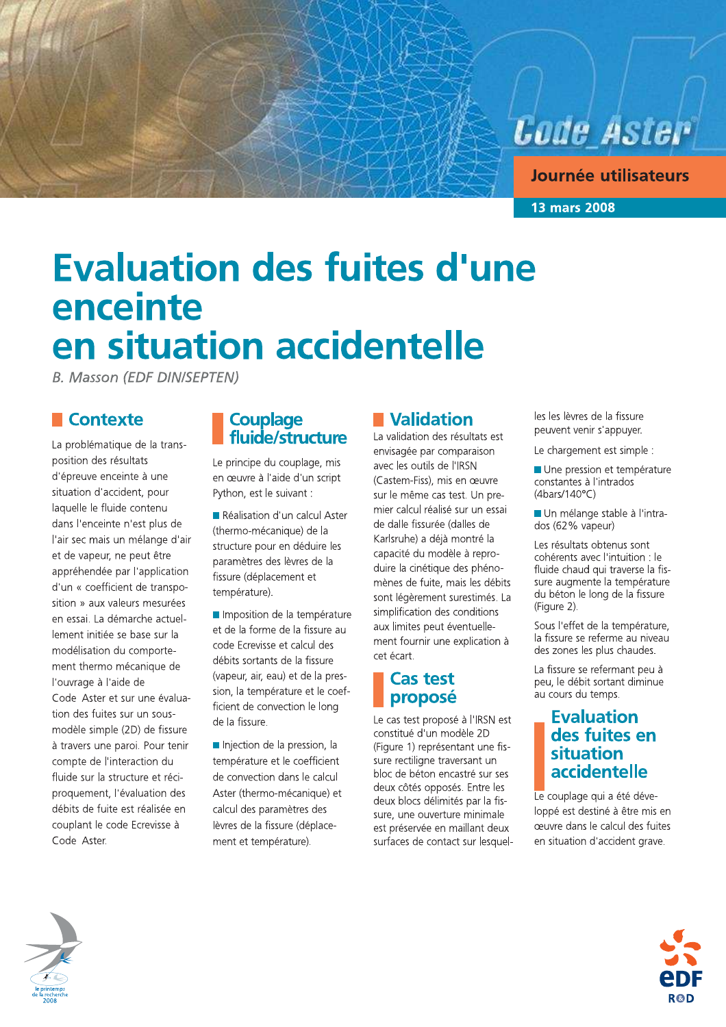

Journée utilisateurs

**13 mars 2008** 

# **Evaluation des fuites d'une** enceinte en situation accidentelle

**B. Masson (EDF DIN/SEPTEN)** 

#### **Contexte**

La problématique de la transposition des résultats d'épreuve enceinte à une situation d'accident, pour laquelle le fluide contenu dans l'enceinte n'est plus de l'air sec mais un mélange d'air et de vapeur, ne peut être appréhendée par l'application d'un « coefficient de transposition » aux valeurs mesurées en essai. La démarche actuellement initiée se base sur la modélisation du comportement thermo mécanique de l'ouvrage à l'aide de Code Aster et sur une évaluation des fuites sur un sousmodèle simple (2D) de fissure à travers une paroi. Pour tenir compte de l'interaction du fluide sur la structure et réciproquement, l'évaluation des débits de fuite est réalisée en couplant le code Ecrevisse à Code Aster.

#### **Couplage** fluide/structure

Le principe du couplage, mis en œuvre à l'aide d'un script Python, est le suivant :

Réalisation d'un calcul Aster (thermo-mécanique) de la structure pour en déduire les paramètres des lèvres de la fissure (déplacement et température).

Imposition de la température et de la forme de la fissure au code Ecrevisse et calcul des débits sortants de la fissure (vapeur, air, eau) et de la pression, la température et le coefficient de convection le long de la fissure.

Injection de la pression, la température et le coefficient de convection dans le calcul Aster (thermo-mécanique) et calcul des paramètres des lèvres de la fissure (déplacement et température).

## **■ Validation**

La validation des résultats est envisagée par comparaison avec les outils de l'IRSN (Castem-Fiss), mis en œuvre sur le même cas test. Un premier calcul réalisé sur un essai de dalle fissurée (dalles de Karlsruhe) a déjà montré la capacité du modèle à reproduire la cinétique des phénomènes de fuite, mais les débits sont légèrement surestimés. La simplification des conditions aux limites peut éventuellement fournir une explication à cet écart.

### **Cas test** proposé

Le cas test proposé à l'IRSN est constitué d'un modèle 2D (Figure 1) représentant une fissure rectiligne traversant un bloc de béton encastré sur ses deux côtés opposés. Entre les deux blocs délimités par la fissure, une ouverture minimale est préservée en maillant deux surfaces de contact sur lesquelles les lèvres de la fissure peuvent venir s'appuyer.

Le chargement est simple :

Une pression et température constantes à l'intrados  $(4 \text{bars}/140^{\circ}\text{C})$ 

Un mélange stable à l'intrados (62% vapeur)

Les résultats obtenus sont cohérents avec l'intuition : le fluide chaud qui traverse la fissure augmente la température du béton le long de la fissure (Figure 2).

Sous l'effet de la température, la fissure se referme au niveau des zones les plus chaudes.

La fissure se refermant peu à peu. le débit sortant diminue au cours du temps.

#### **Evaluation** des fuites en situation accidentelle

Le couplage qui a été développé est destiné à être mis en œuvre dans le calcul des fuites en situation d'accident grave.